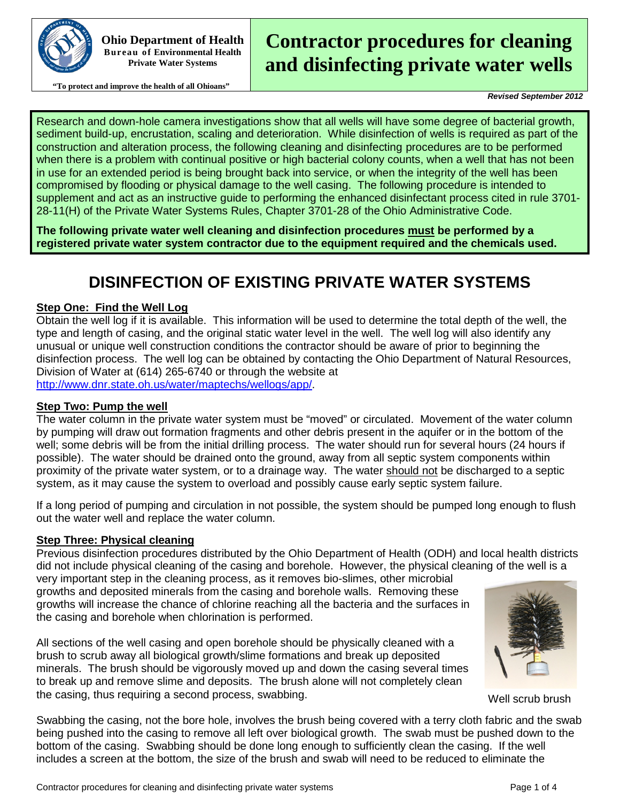

**Ohio Department of Health Bureau of Environmental Health Private Water Systems**

#### **"To protect and improve the health of all Ohioans"**

# **Contractor procedures for cleaning and disinfecting private water wells**

*Revised September 2012*

Research and down-hole camera investigations show that all wells will have some degree of bacterial growth, sediment build-up, encrustation, scaling and deterioration. While disinfection of wells is required as part of the construction and alteration process, the following cleaning and disinfecting procedures are to be performed when there is a problem with continual positive or high bacterial colony counts, when a well that has not been in use for an extended period is being brought back into service, or when the integrity of the well has been compromised by flooding or physical damage to the well casing. The following procedure is intended to supplement and act as an instructive guide to performing the enhanced disinfectant process cited in rule 3701- 28-11(H) of the Private Water Systems Rules, Chapter 3701-28 of the Ohio Administrative Code.

**The following private water well cleaning and disinfection procedures must be performed by a registered private water system contractor due to the equipment required and the chemicals used.** 

## **DISINFECTION OF EXISTING PRIVATE WATER SYSTEMS**

#### **Step One: Find the Well Log**

Obtain the well log if it is available. This information will be used to determine the total depth of the well, the type and length of casing, and the original static water level in the well. The well log will also identify any unusual or unique well construction conditions the contractor should be aware of prior to beginning the disinfection process. The well log can be obtained by contacting the Ohio Department of Natural Resources, Division of Water at (614) 265-6740 or through the website at [http://www.dnr.state.oh.us/water/maptechs/wellogs/app/.](http://www.dnr.state.oh.us/water/maptechs/wellogs/app/)

#### **Step Two: Pump the well**

The water column in the private water system must be "moved" or circulated. Movement of the water column by pumping will draw out formation fragments and other debris present in the aquifer or in the bottom of the well; some debris will be from the initial drilling process. The water should run for several hours (24 hours if possible). The water should be drained onto the ground, away from all septic system components within proximity of the private water system, or to a drainage way. The water should not be discharged to a septic system, as it may cause the system to overload and possibly cause early septic system failure.

If a long period of pumping and circulation in not possible, the system should be pumped long enough to flush out the water well and replace the water column.

#### **Step Three: Physical cleaning**

Previous disinfection procedures distributed by the Ohio Department of Health (ODH) and local health districts did not include physical cleaning of the casing and borehole. However, the physical cleaning of the well is a

very important step in the cleaning process, as it removes bio-slimes, other microbial growths and deposited minerals from the casing and borehole walls. Removing these growths will increase the chance of chlorine reaching all the bacteria and the surfaces in the casing and borehole when chlorination is performed.

All sections of the well casing and open borehole should be physically cleaned with a brush to scrub away all biological growth/slime formations and break up deposited minerals. The brush should be vigorously moved up and down the casing several times to break up and remove slime and deposits. The brush alone will not completely clean the casing, thus requiring a second process, swabbing.



Well scrub brush

Swabbing the casing, not the bore hole, involves the brush being covered with a terry cloth fabric and the swab being pushed into the casing to remove all left over biological growth. The swab must be pushed down to the bottom of the casing. Swabbing should be done long enough to sufficiently clean the casing. If the well includes a screen at the bottom, the size of the brush and swab will need to be reduced to eliminate the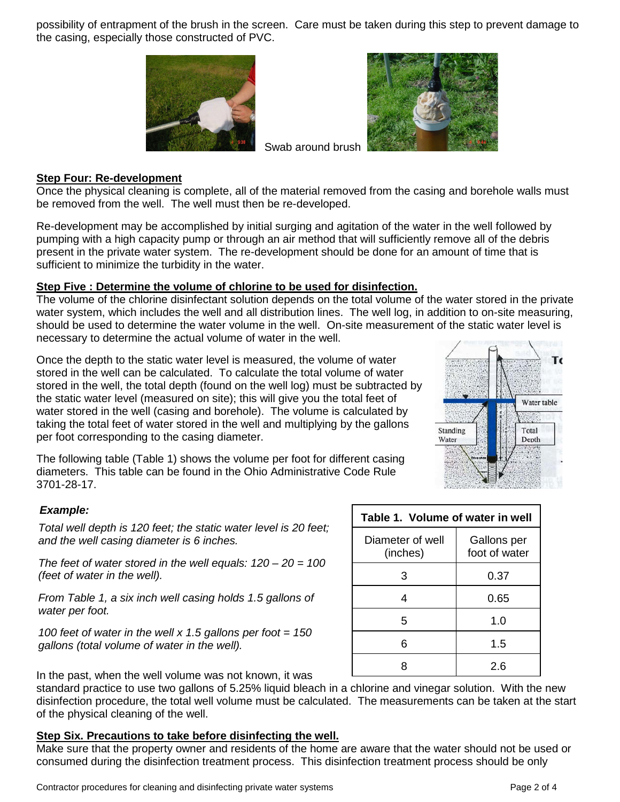possibility of entrapment of the brush in the screen. Care must be taken during this step to prevent damage to the casing, especially those constructed of PVC.





#### **Step Four: Re-development**

Once the physical cleaning is complete, all of the material removed from the casing and borehole walls must be removed from the well. The well must then be re-developed.

Swab around brush

Re-development may be accomplished by initial surging and agitation of the water in the well followed by pumping with a high capacity pump or through an air method that will sufficiently remove all of the debris present in the private water system. The re-development should be done for an amount of time that is sufficient to minimize the turbidity in the water.

#### **Step Five : Determine the volume of chlorine to be used for disinfection.**

The volume of the chlorine disinfectant solution depends on the total volume of the water stored in the private water system, which includes the well and all distribution lines. The well log, in addition to on-site measuring, should be used to determine the water volume in the well. On-site measurement of the static water level is necessary to determine the actual volume of water in the well.

Once the depth to the static water level is measured, the volume of water stored in the well can be calculated. To calculate the total volume of water stored in the well, the total depth (found on the well log) must be subtracted by the static water level (measured on site); this will give you the total feet of water stored in the well (casing and borehole). The volume is calculated by taking the total feet of water stored in the well and multiplying by the gallons per foot corresponding to the casing diameter.

The following table (Table 1) shows the volume per foot for different casing diameters. This table can be found in the Ohio Administrative Code Rule 3701-28-17.

#### *Example:*

*Total well depth is 120 feet; the static water level is 20 feet; and the well casing diameter is 6 inches.* 

*The feet of water stored in the well equals: 120 – 20 = 100 (feet of water in the well).* 

*From Table 1, a six inch well casing holds 1.5 gallons of water per foot.* 

*100 feet of water in the well x 1.5 gallons per foot = 150 gallons (total volume of water in the well).*

In the past, when the well volume was not known, it was

standard practice to use two gallons of 5.25% liquid bleach in a chlorine and vinegar solution. With the new disinfection procedure, the total well volume must be calculated. The measurements can be taken at the start of the physical cleaning of the well.

### **Step Six. Precautions to take before disinfecting the well.**

Make sure that the property owner and residents of the home are aware that the water should not be used or consumed during the disinfection treatment process. This disinfection treatment process should be only



| Table 1. Volume of water in well |                              |  |  |
|----------------------------------|------------------------------|--|--|
| Diameter of well<br>(inches)     | Gallons per<br>foot of water |  |  |
| 3                                | 0.37                         |  |  |
| 4                                | 0.65                         |  |  |
| 5                                | 1.0                          |  |  |
| հ                                | 1.5                          |  |  |
|                                  | 2.6                          |  |  |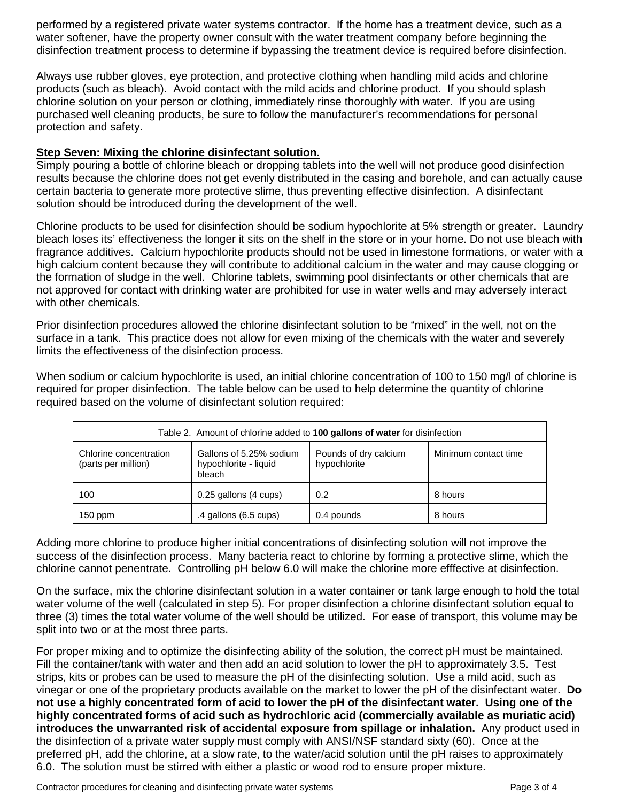performed by a registered private water systems contractor. If the home has a treatment device, such as a water softener, have the property owner consult with the water treatment company before beginning the disinfection treatment process to determine if bypassing the treatment device is required before disinfection.

Always use rubber gloves, eye protection, and protective clothing when handling mild acids and chlorine products (such as bleach). Avoid contact with the mild acids and chlorine product. If you should splash chlorine solution on your person or clothing, immediately rinse thoroughly with water. If you are using purchased well cleaning products, be sure to follow the manufacturer's recommendations for personal protection and safety.

#### **Step Seven: Mixing the chlorine disinfectant solution.**

Simply pouring a bottle of chlorine bleach or dropping tablets into the well will not produce good disinfection results because the chlorine does not get evenly distributed in the casing and borehole, and can actually cause certain bacteria to generate more protective slime, thus preventing effective disinfection. A disinfectant solution should be introduced during the development of the well.

Chlorine products to be used for disinfection should be sodium hypochlorite at 5% strength or greater. Laundry bleach loses its' effectiveness the longer it sits on the shelf in the store or in your home. Do not use bleach with fragrance additives. Calcium hypochlorite products should not be used in limestone formations, or water with a high calcium content because they will contribute to additional calcium in the water and may cause clogging or the formation of sludge in the well. Chlorine tablets, swimming pool disinfectants or other chemicals that are not approved for contact with drinking water are prohibited for use in water wells and may adversely interact with other chemicals.

Prior disinfection procedures allowed the chlorine disinfectant solution to be "mixed" in the well, not on the surface in a tank. This practice does not allow for even mixing of the chemicals with the water and severely limits the effectiveness of the disinfection process.

When sodium or calcium hypochlorite is used, an initial chlorine concentration of 100 to 150 mg/l of chlorine is required for proper disinfection. The table below can be used to help determine the quantity of chlorine required based on the volume of disinfectant solution required:

| Table 2. Amount of chlorine added to 100 gallons of water for disinfection |                                                            |                                       |                      |  |
|----------------------------------------------------------------------------|------------------------------------------------------------|---------------------------------------|----------------------|--|
| Chlorine concentration<br>(parts per million)                              | Gallons of 5.25% sodium<br>hypochlorite - liquid<br>bleach | Pounds of dry calcium<br>hypochlorite | Minimum contact time |  |
| 100                                                                        | 0.25 gallons (4 cups)                                      | 0.2                                   | 8 hours              |  |
| $150$ ppm                                                                  | $.4$ gallons (6.5 cups)                                    | 0.4 pounds                            | 8 hours              |  |

Adding more chlorine to produce higher initial concentrations of disinfecting solution will not improve the success of the disinfection process. Many bacteria react to chlorine by forming a protective slime, which the chlorine cannot penentrate. Controlling pH below 6.0 will make the chlorine more efffective at disinfection.

On the surface, mix the chlorine disinfectant solution in a water container or tank large enough to hold the total water volume of the well (calculated in step 5). For proper disinfection a chlorine disinfectant solution equal to three (3) times the total water volume of the well should be utilized. For ease of transport, this volume may be split into two or at the most three parts.

For proper mixing and to optimize the disinfecting ability of the solution, the correct pH must be maintained. Fill the container/tank with water and then add an acid solution to lower the pH to approximately 3.5. Test strips, kits or probes can be used to measure the pH of the disinfecting solution. Use a mild acid, such as vinegar or one of the proprietary products available on the market to lower the pH of the disinfectant water. **Do not use a highly concentrated form of acid to lower the pH of the disinfectant water. Using one of the highly concentrated forms of acid such as hydrochloric acid (commercially available as muriatic acid) introduces the unwarranted risk of accidental exposure from spillage or inhalation.** Any product used in the disinfection of a private water supply must comply with ANSI/NSF standard sixty (60). Once at the preferred pH, add the chlorine, at a slow rate, to the water/acid solution until the pH raises to approximately 6.0. The solution must be stirred with either a plastic or wood rod to ensure proper mixture.